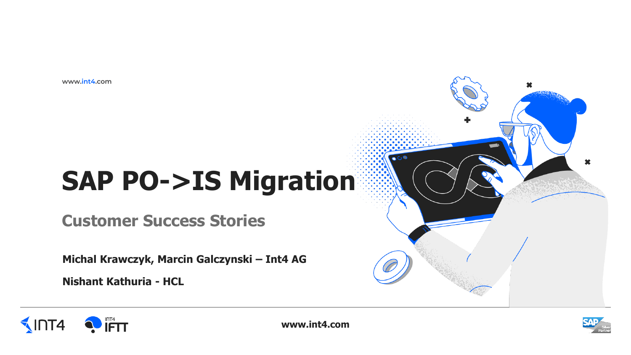www.int4.com

# **SAP PO->IS Migration**

**Customer Success Stories** 

Michal Krawczyk, Marcin Galczynski - Int4 AG

**Nishant Kathuria - HCL** 

**OFTT** 

 $\sqrt{\ln 14}$ 





 $\bullet$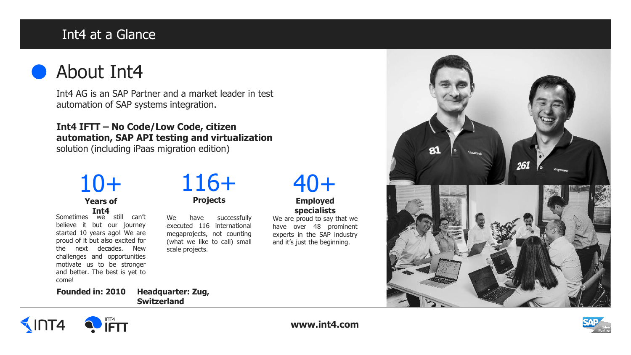### Int4 at a Glance

● About Int4

Int4 AG is an SAP Partner and a market leader in test automation of SAP systems integration.

**Int4 IFTT – No Code/Low Code, citizen automation, SAP API testing and virtualization**  solution (including iPaas migration edition)

# 10+

**Years of Int4**

Sometimes we still can't believe it but our journey started 10 years ago! We are proud of it but also excited for the next decades. New challenges and opportunities motivate us to be stronger and better. The best is yet to come!

# 116+

**Projects**

We have successfully executed 116 international megaprojects, not counting (what we like to call) small scale projects.

# 40+

#### **Employed specialists**

We are proud to say that we have over 48 prominent experts in the SAP industry and it's just the beginning.



**Switzerland**





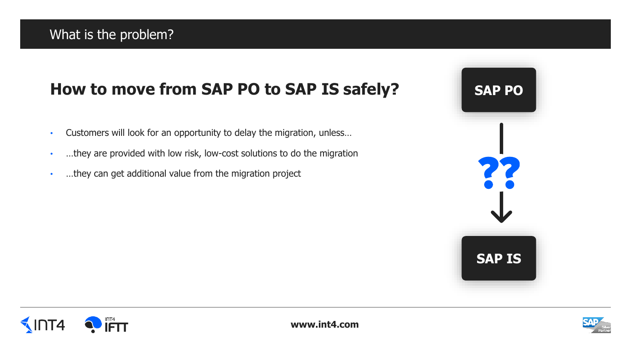## **How to move from SAP PO to SAP IS safely?**

- Customers will look for an opportunity to delay the migration, unless…
- ...they are provided with low risk, low-cost solutions to do the migration
- …they can get additional value from the migration project





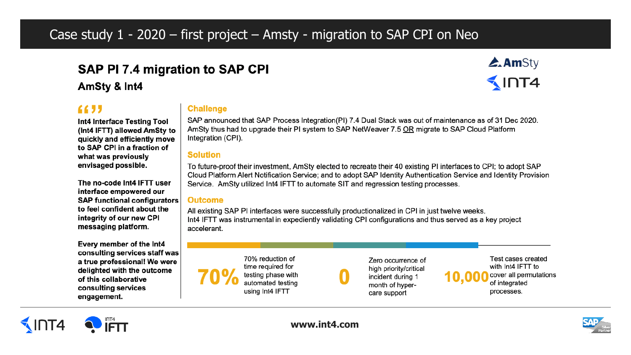### Case study  $1 - 2020$  – first project – Amsty - migration to SAP CPI on Neo

## SAP PI 7.4 migration to SAP CPI

AmSty & Int4

what was previously envisaged possible.

Int4 Interface Testing Tool

(Int4 IFTT) allowed AmSty to

quickly and efficiently move to SAP CPI in a fraction of

The no-code Int4 IFTT user

interface empowered our **SAP functional configurators** 

to feel confident about the

integrity of our new CPI

messaging platform.

**6655** 

#### **Challenge**

SAP announced that SAP Process Integration(PI) 7.4 Dual Stack was out of maintenance as of 31 Dec 2020. AmSty thus had to upgrade their PI system to SAP NetWeaver 7.5 OR migrate to SAP Cloud Platform Integration (CPI).

#### **Solution**

To future-proof their investment, AmSty elected to recreate their 40 existing PI interfaces to CPI; to adopt SAP Cloud Platform Alert Notification Service; and to adopt SAP Identity Authentication Service and Identity Provision Service. AmSty utilized Int4 IFTT to automate SIT and regression testing processes.

#### **Outcome**

All existing SAP PI interfaces were successfully productionalized in CPI in just twelve weeks. Int4 IFTT was instrumental in expediently validating CPI configurations and thus served as a key project accelerant.

Every member of the Int4 consulting services staff was a true professional! We were delighted with the outcome of this collaborative consulting services engagement.

70% reduction of time required for testing phase with automated testing using Int4 IFTT

Zero occurrence of high priority/critical incident during 1 month of hypercare support

Test cases created with Int4 IFTT to cover all permutations of integrated processes.







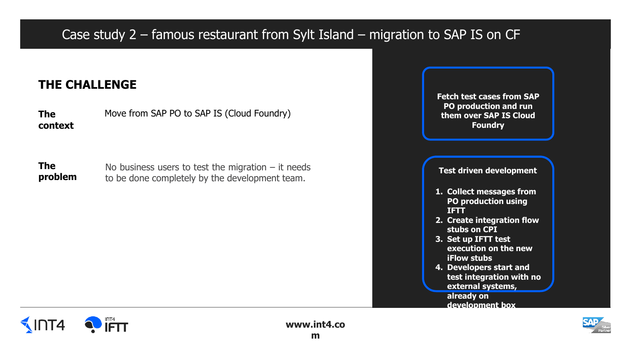## Case study 2 – famous restaurant from Sylt Island – migration to SAP IS on CF

#### **THE CHALLENGE**

**The context** Move from SAP PO to SAP IS (Cloud Foundry)

**The The** No business users to test the migration – it needs<br> **problem** to be done completely by the development team. to be done completely by the development team.

**Fetch test cases from SAP PO production and run them over SAP IS Cloud Foundry 1. Collect messages from PO production using IFTT 2. Create integration flow stubs on CPI 3. Set up IFTT test execution on the new iFlow stubs 4. Developers start and test integration with no external systems, already on** 

**development box**



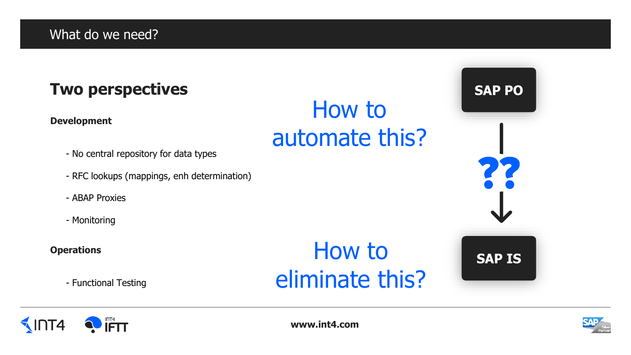## **Two perspectives**

#### **Development**

- No central repository for data types
- RFC lookups (mappings, enh determination)
- ABAP Proxies
- Monitoring

#### **Operations**

 $\sqrt{\ln 14}$ 

• - Functional Testing

 $\overline{\mathsf{IFT}}$ 

# How to eliminate this?

How to

automate this?



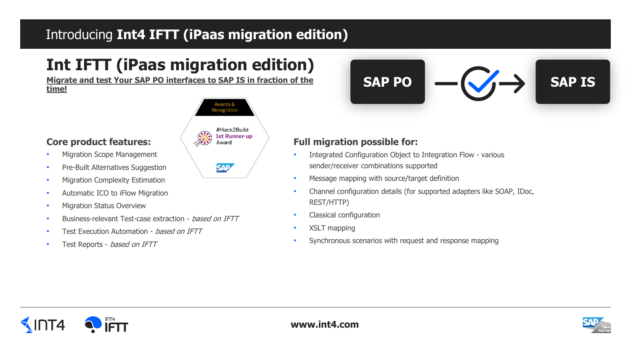## Introducing **Int4 IFTT (iPaas migration edition)**

## **Int IFTT (iPaas migration edition)**

**Migrate and test Your SAP PO interfaces to SAP IS in fraction of the time!**



Award

**SAP** 

#### **Core product features:**

- Migration Scope Management
- Pre-Built Alternatives Suggestion
- Migration Complexity Estimation
- Automatic ICO to iFlow Migration
- Migration Status Overview
- Business-relevant Test-case extraction based on IFTT
- Test Execution Automation based on IFTT
- Test Reports based on IFTT

**SAP PO SAP IS**

#### **Full migration possible for:**

- Integrated Configuration Object to Integration Flow various sender/receiver combinations supported
- Message mapping with source/target definition
- Channel configuration details (for supported adapters like SOAP, IDoc, REST/HTTP)
- Classical configuration
- XSLT mapping
- Synchronous scenarios with request and response mapping



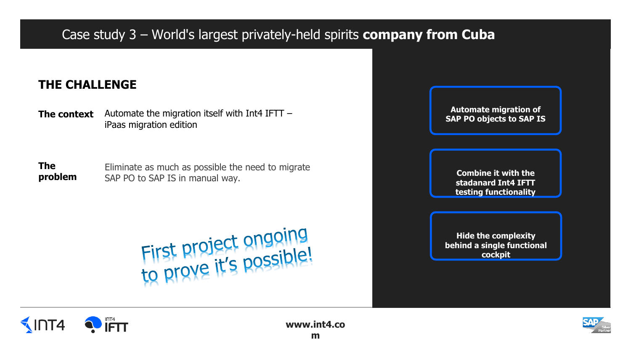## Case study 3 – World's largest privately-held spirits **company from Cuba**

#### **THE CHALLENGE**

**The context** Automate the migration itself with Int4 IFTT – iPaas migration edition

**The problem** Eliminate as much as possible the need to migrate SAP PO to SAP IS in manual way.

First project ongoing<br>to prove it's possible!





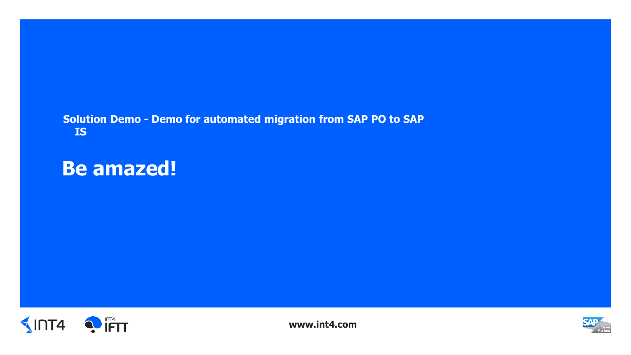#### **Solution Demo - Demo for automated migration from SAP PO to SAP IS**

## **Be amazed!**



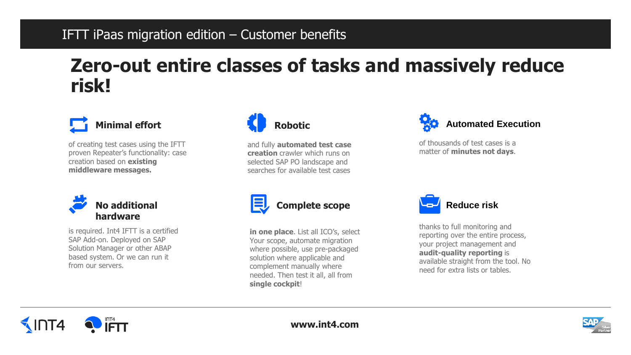### IFTT iPaas migration edition – Customer benefits

## **Zero-out entire classes of tasks and massively reduce risk!**



of creating test cases using the IFTT proven Repeater's functionality: case creation based on **existing middleware messages.**



is required. Int4 IFTT is a certified SAP Add-on. Deployed on SAP Solution Manager or other ABAP based system. Or we can run it from our servers.



and fully **automated test case creation** crawler which runs on selected SAP PO landscape and searches for available test cases



of thousands of test cases is a matter of **minutes not days**.



**Complete scope**

**in one place**. List all ICO's, select Your scope, automate migration where possible, use pre-packaged solution where applicable and complement manually where needed. Then test it all, all from **single cockpit**!



thanks to full monitoring and reporting over the entire process, your project management and **audit-quality reporting** is available straight from the tool. No need for extra lists or tables.



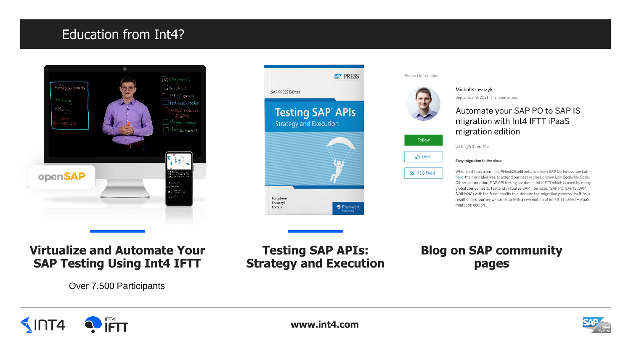### Education from Int4?







### Automate your SAP PO to SAP IS migration with Int4 IFTT iPaaS

When Int4 took a part in a #Hack2Build initiative from SAP Co-Innovation Lab here the main idea was to extend our best in class proven Low Code/No Code, Citizen automation, SAP API testing solution - Int4 IFTT which is used by many global companies to test and virtualize SAP interfaces (SAP PO, SAP IS, SAP S/4HANA) with the functionality to automate the migration process itself. As a result of this journey we came up with a new edition of Int4 IFTT called - iPaaS

#### **Virtualize and Automate Your SAP Testing Using Int4 IFTT**

Over 7.500 Participants

#### **Testing SAP APIs: Strategy and Execution**

**Blog on SAP community pages**